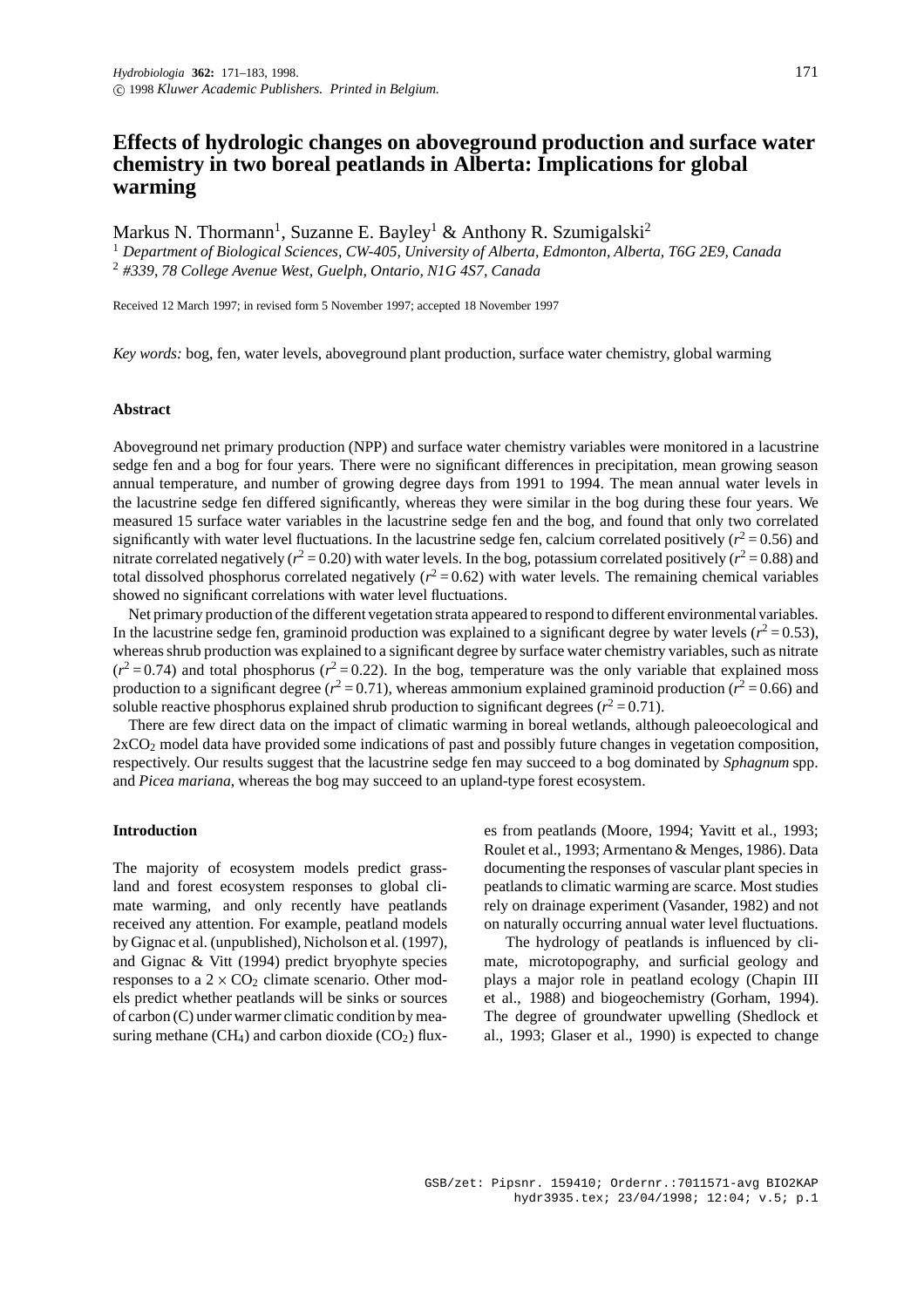# **Effects of hydrologic changes on aboveground production and surface water chemistry in two boreal peatlands in Alberta: Implications for global warming**

Markus N. Thormann<sup>1</sup>, Suzanne E. Bayley<sup>1</sup> & Anthony R. Szumigalski<sup>2</sup>

<sup>1</sup> *Department of Biological Sciences, CW-405, University of Alberta, Edmonton, Alberta, T6G 2E9, Canada* <sup>2</sup> *#339, 78 College Avenue West, Guelph, Ontario, N1G 4S7, Canada*

Received 12 March 1997; in revised form 5 November 1997; accepted 18 November 1997

*Key words:* bog, fen, water levels, aboveground plant production, surface water chemistry, global warming

# **Abstract**

Aboveground net primary production (NPP) and surface water chemistry variables were monitored in a lacustrine sedge fen and a bog for four years. There were no significant differences in precipitation, mean growing season annual temperature, and number of growing degree days from 1991 to 1994. The mean annual water levels in the lacustrine sedge fen differed significantly, whereas they were similar in the bog during these four years. We measured 15 surface water variables in the lacustrine sedge fen and the bog, and found that only two correlated significantly with water level fluctuations. In the lacustrine sedge fen, calcium correlated positively  $(r^2 = 0.56)$  and nitrate correlated negatively ( $r^2 = 0.20$ ) with water levels. In the bog, potassium correlated positively ( $r^2 = 0.88$ ) and total dissolved phosphorus correlated negatively  $(r^2 = 0.62)$  with water levels. The remaining chemical variables showed no significant correlations with water level fluctuations.

Net primary production of the different vegetation strata appeared to respond to different environmental variables. In the lacustrine sedge fen, graminoid production was explained to a significant degree by water levels ( $r^2$  = 0.53), whereas shrub production was explained to a significant degree by surface water chemistry variables, such as nitrate  $(r^2 = 0.74)$  and total phosphorus  $(r^2 = 0.22)$ . In the bog, temperature was the only variable that explained moss production to a significant degree ( $r^2$  = 0.71), whereas ammonium explained graminoid production ( $r^2$  = 0.66) and soluble reactive phosphorus explained shrub production to significant degrees  $(r^2 = 0.71)$ .

There are few direct data on the impact of climatic warming in boreal wetlands, although paleoecological and 2xCO2 model data have provided some indications of past and possibly future changes in vegetation composition, respectively. Our results suggest that the lacustrine sedge fen may succeed to a bog dominated by *Sphagnum* spp. and *Picea mariana*, whereas the bog may succeed to an upland-type forest ecosystem.

# **Introduction**

The majority of ecosystem models predict grassland and forest ecosystem responses to global climate warming, and only recently have peatlands received any attention. For example, peatland models by Gignac et al. (unpublished), Nicholson et al. (1997), and Gignac & Vitt (1994) predict bryophyte species responses to a  $2 \times CO_2$  climate scenario. Other models predict whether peatlands will be sinks or sources of carbon (C) under warmer climatic condition by measuring methane (CH<sub>4</sub>) and carbon dioxide (CO<sub>2</sub>) fluxes from peatlands (Moore, 1994; Yavitt et al., 1993; Roulet et al., 1993; Armentano & Menges, 1986). Data documenting the responses of vascular plant species in peatlands to climatic warming are scarce. Most studies rely on drainage experiment (Vasander, 1982) and not on naturally occurring annual water level fluctuations.

The hydrology of peatlands is influenced by climate, microtopography, and surficial geology and plays a major role in peatland ecology (Chapin III et al., 1988) and biogeochemistry (Gorham, 1994). The degree of groundwater upwelling (Shedlock et al., 1993; Glaser et al., 1990) is expected to change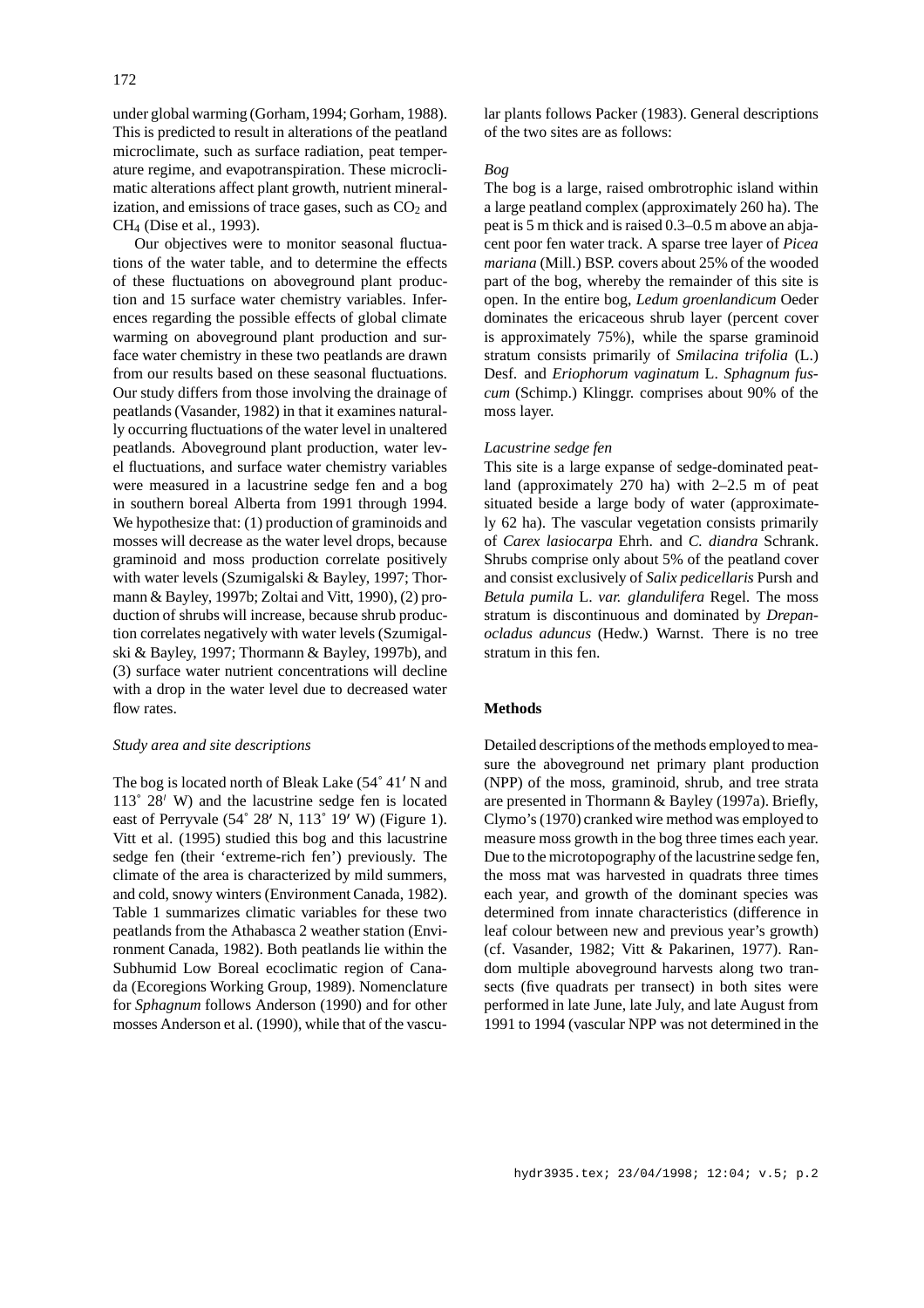under global warming (Gorham,1994; Gorham, 1988). This is predicted to result in alterations of the peatland microclimate, such as surface radiation, peat temperature regime, and evapotranspiration. These microclimatic alterations affect plant growth, nutrient mineralization, and emissions of trace gases, such as  $CO<sub>2</sub>$  and CH4 (Dise et al., 1993).

Our objectives were to monitor seasonal fluctuations of the water table, and to determine the effects of these fluctuations on aboveground plant production and 15 surface water chemistry variables. Inferences regarding the possible effects of global climate warming on aboveground plant production and surface water chemistry in these two peatlands are drawn from our results based on these seasonal fluctuations. Our study differs from those involving the drainage of peatlands (Vasander, 1982) in that it examines naturally occurring fluctuations of the water level in unaltered peatlands. Aboveground plant production, water level fluctuations, and surface water chemistry variables were measured in a lacustrine sedge fen and a bog in southern boreal Alberta from 1991 through 1994. We hypothesize that: (1) production of graminoids and mosses will decrease as the water level drops, because graminoid and moss production correlate positively with water levels (Szumigalski & Bayley, 1997; Thormann & Bayley, 1997b; Zoltai and Vitt, 1990), (2) production of shrubs will increase, because shrub production correlates negatively with water levels (Szumigalski & Bayley, 1997; Thormann & Bayley, 1997b), and (3) surface water nutrient concentrations will decline with a drop in the water level due to decreased water flow rates.

#### *Study area and site descriptions*

The bog is located north of Bleak Lake (54° 41' N and  $113° 28'$  W) and the lacustrine sedge fen is located east of Perryvale  $(54^{\circ} 28' N, 113^{\circ} 19' W)$  (Figure 1). Vitt et al. (1995) studied this bog and this lacustrine sedge fen (their 'extreme-rich fen') previously. The climate of the area is characterized by mild summers, and cold, snowy winters (Environment Canada, 1982). Table 1 summarizes climatic variables for these two peatlands from the Athabasca 2 weather station (Environment Canada, 1982). Both peatlands lie within the Subhumid Low Boreal ecoclimatic region of Canada (Ecoregions Working Group, 1989). Nomenclature for *Sphagnum* follows Anderson (1990) and for other mosses Anderson et al. (1990), while that of the vascular plants follows Packer (1983). General descriptions of the two sites are as follows:

# *Bog*

The bog is a large, raised ombrotrophic island within a large peatland complex (approximately 260 ha). The peat is 5 m thick and is raised 0.3–0.5 m above an abjacent poor fen water track. A sparse tree layer of *Picea mariana* (Mill.) BSP. covers about 25% of the wooded part of the bog, whereby the remainder of this site is open. In the entire bog, *Ledum groenlandicum* Oeder dominates the ericaceous shrub layer (percent cover is approximately 75%), while the sparse graminoid stratum consists primarily of *Smilacina trifolia* (L.) Desf. and *Eriophorum vaginatum* L. *Sphagnum fuscum* (Schimp.) Klinggr. comprises about 90% of the moss layer.

# *Lacustrine sedge fen*

This site is a large expanse of sedge-dominated peatland (approximately 270 ha) with 2–2.5 m of peat situated beside a large body of water (approximately 62 ha). The vascular vegetation consists primarily of *Carex lasiocarpa* Ehrh. and *C. diandra* Schrank. Shrubs comprise only about 5% of the peatland cover and consist exclusively of *Salix pedicellaris* Pursh and *Betula pumila* L. *var. glandulifera* Regel. The moss stratum is discontinuous and dominated by *Drepanocladus aduncus* (Hedw.) Warnst. There is no tree stratum in this fen.

# **Methods**

Detailed descriptions of the methods employed to measure the aboveground net primary plant production (NPP) of the moss, graminoid, shrub, and tree strata are presented in Thormann & Bayley (1997a). Briefly, Clymo's (1970) cranked wire method was employed to measure moss growth in the bog three times each year. Due to the microtopography of the lacustrine sedge fen, the moss mat was harvested in quadrats three times each year, and growth of the dominant species was determined from innate characteristics (difference in leaf colour between new and previous year's growth) (cf. Vasander, 1982; Vitt & Pakarinen, 1977). Random multiple aboveground harvests along two transects (five quadrats per transect) in both sites were performed in late June, late July, and late August from 1991 to 1994 (vascular NPP was not determined in the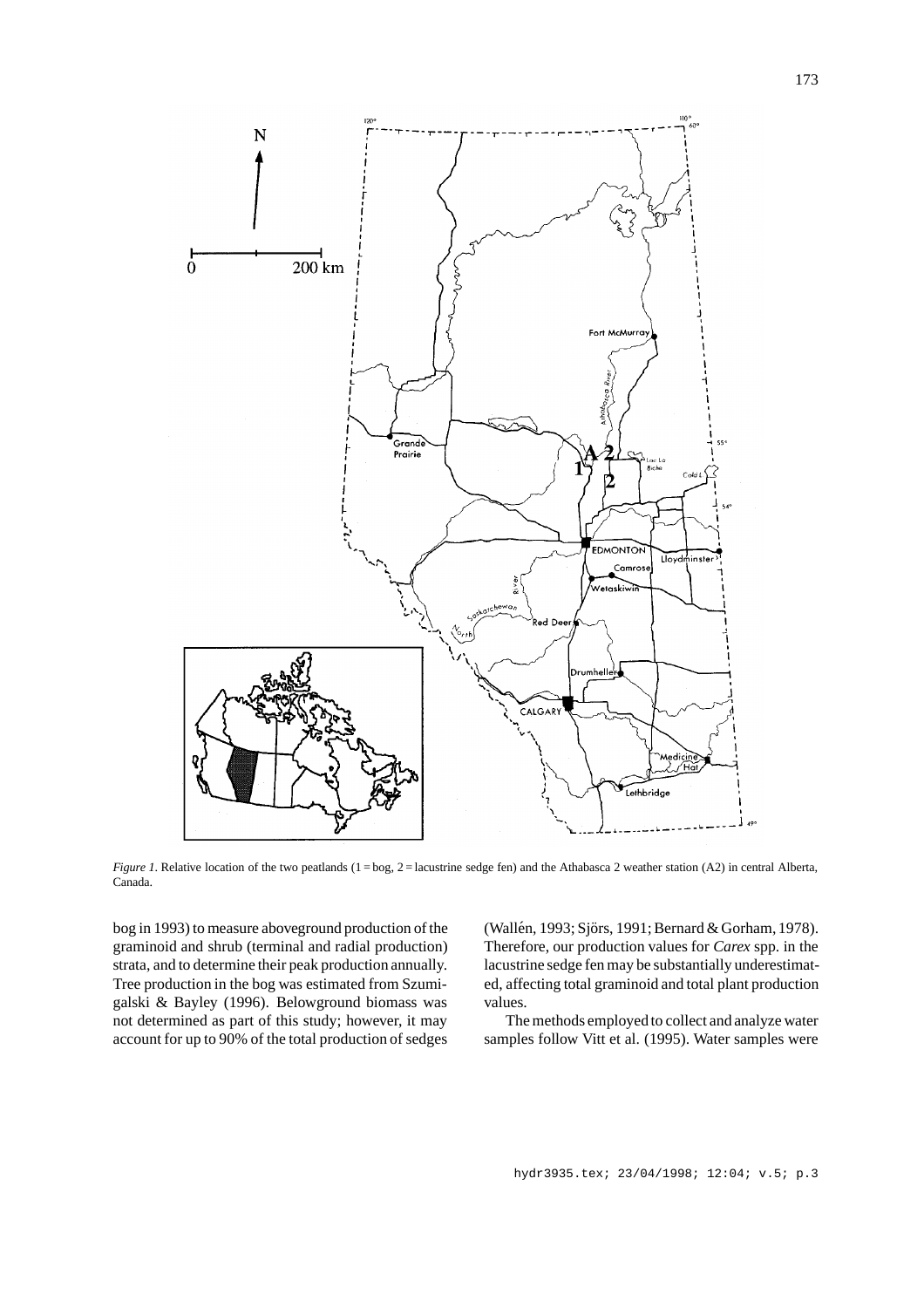

*Figure 1*. Relative location of the two peatlands (1 = bog, 2 = lacustrine sedge fen) and the Athabasca 2 weather station (A2) in central Alberta, Canada.

bog in 1993) to measure aboveground production of the graminoid and shrub (terminal and radial production) strata, and to determine their peak production annually. Tree production in the bog was estimated from Szumigalski & Bayley (1996). Belowground biomass was not determined as part of this study; however, it may account for up to 90% of the total production of sedges (Wallén, 1993; Sjörs, 1991; Bernard & Gorham, 1978). Therefore, our production values for *Carex* spp. in the lacustrine sedge fen may be substantially underestimated, affecting total graminoid and total plant production values.

The methods employed to collect and analyze water samples follow Vitt et al. (1995). Water samples were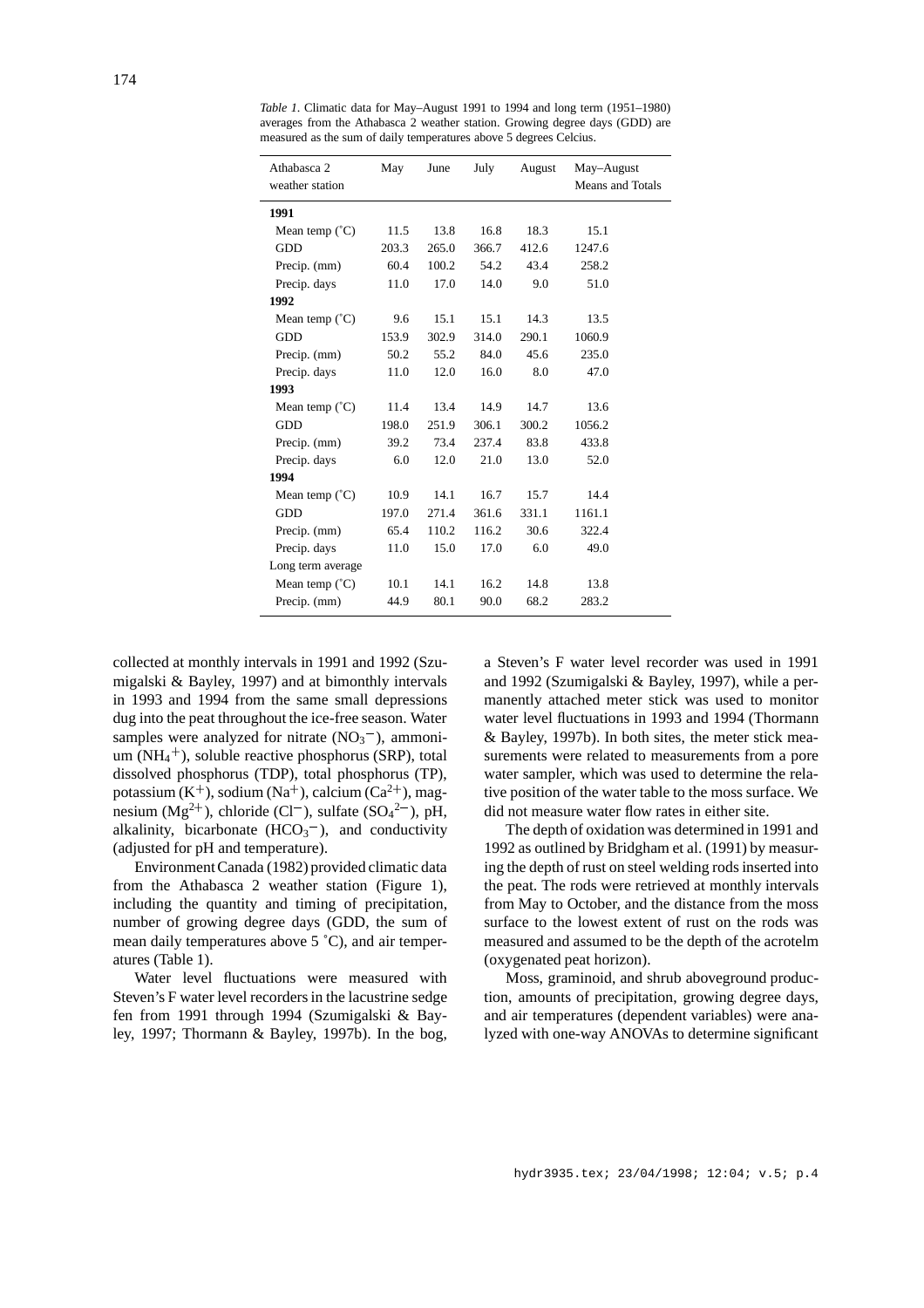| Athabasca 2             | May   | June  | July  | August | May-August       |
|-------------------------|-------|-------|-------|--------|------------------|
| weather station         |       |       |       |        | Means and Totals |
| 1991                    |       |       |       |        |                  |
| Mean temp $(^{\circ}C)$ | 11.5  | 13.8  | 16.8  | 18.3   | 15.1             |
| <b>GDD</b>              | 203.3 | 265.0 | 366.7 | 412.6  | 1247.6           |
| Precip. (mm)            | 60.4  | 100.2 | 54.2  | 43.4   | 258.2            |
| Precip. days            | 11.0  | 17.0  | 14.0  | 9.0    | 51.0             |
| 1992                    |       |       |       |        |                  |
| Mean temp $(^{\circ}C)$ | 9.6   | 15.1  | 15.1  | 14.3   | 13.5             |
| <b>GDD</b>              | 153.9 | 302.9 | 314.0 | 290.1  | 1060.9           |
| Precip. (mm)            | 50.2  | 55.2  | 84.0  | 45.6   | 235.0            |
| Precip. days            | 11.0  | 12.0  | 16.0  | 8.0    | 47.0             |
| 1993                    |       |       |       |        |                  |
| Mean temp $(^{\circ}C)$ | 11.4  | 13.4  | 14.9  | 14.7   | 13.6             |
| <b>GDD</b>              | 198.0 | 251.9 | 306.1 | 300.2  | 1056.2           |
| Precip. (mm)            | 39.2  | 73.4  | 237.4 | 83.8   | 433.8            |
| Precip. days            | 6.0   | 12.0  | 21.0  | 13.0   | 52.0             |
| 1994                    |       |       |       |        |                  |
| Mean temp $(^{\circ}C)$ | 10.9  | 14.1  | 16.7  | 15.7   | 14.4             |
| <b>GDD</b>              | 197.0 | 271.4 | 361.6 | 331.1  | 1161.1           |
| Precip. (mm)            | 65.4  | 110.2 | 116.2 | 30.6   | 322.4            |
| Precip. days            | 11.0  | 15.0  | 17.0  | 6.0    | 49.0             |
| Long term average       |       |       |       |        |                  |
| Mean temp $(^{\circ}C)$ | 10.1  | 14.1  | 16.2  | 14.8   | 13.8             |
| Precip. (mm)            | 44.9  | 80.1  | 90.0  | 68.2   | 283.2            |

*Table 1*. Climatic data for May–August 1991 to 1994 and long term (1951–1980) averages from the Athabasca 2 weather station. Growing degree days (GDD) are measured as the sum of daily temperatures above 5 degrees Celcius.

collected at monthly intervals in 1991 and 1992 (Szumigalski & Bayley, 1997) and at bimonthly intervals in 1993 and 1994 from the same small depressions dug into the peat throughout the ice-free season. Water samples were analyzed for nitrate  $(NO<sub>3</sub><sup>-</sup>)$ , ammoni $um(NH<sub>4</sub><sup>+</sup>)$ , soluble reactive phosphorus (SRP), total dissolved phosphorus (TDP), total phosphorus (TP), potassium  $(K^+)$ , sodium  $(Na^+)$ , calcium  $(Ca^{2+})$ , magnesium  $(Mg^{2+})$ , chloride (Cl<sup>-</sup>), sulfate (SO<sub>4</sub><sup>2-</sup>), pH, alkalinity, bicarbonate  $(HCO<sub>3</sub><sup>-</sup>)$ , and conductivity (adjusted for pH and temperature).

Environment Canada (1982) provided climatic data from the Athabasca 2 weather station (Figure 1), including the quantity and timing of precipitation, number of growing degree days (GDD, the sum of mean daily temperatures above 5 ˚C), and air temperatures (Table 1).

Water level fluctuations were measured with Steven's F water level recorders in the lacustrine sedge fen from 1991 through 1994 (Szumigalski & Bayley, 1997; Thormann & Bayley, 1997b). In the bog, a Steven's F water level recorder was used in 1991 and 1992 (Szumigalski & Bayley, 1997), while a permanently attached meter stick was used to monitor water level fluctuations in 1993 and 1994 (Thormann & Bayley, 1997b). In both sites, the meter stick measurements were related to measurements from a pore water sampler, which was used to determine the relative position of the water table to the moss surface. We did not measure water flow rates in either site.

The depth of oxidation was determined in 1991 and 1992 as outlined by Bridgham et al. (1991) by measuring the depth of rust on steel welding rods inserted into the peat. The rods were retrieved at monthly intervals from May to October, and the distance from the moss surface to the lowest extent of rust on the rods was measured and assumed to be the depth of the acrotelm (oxygenated peat horizon).

Moss, graminoid, and shrub aboveground production, amounts of precipitation, growing degree days, and air temperatures (dependent variables) were analyzed with one-way ANOVAs to determine significant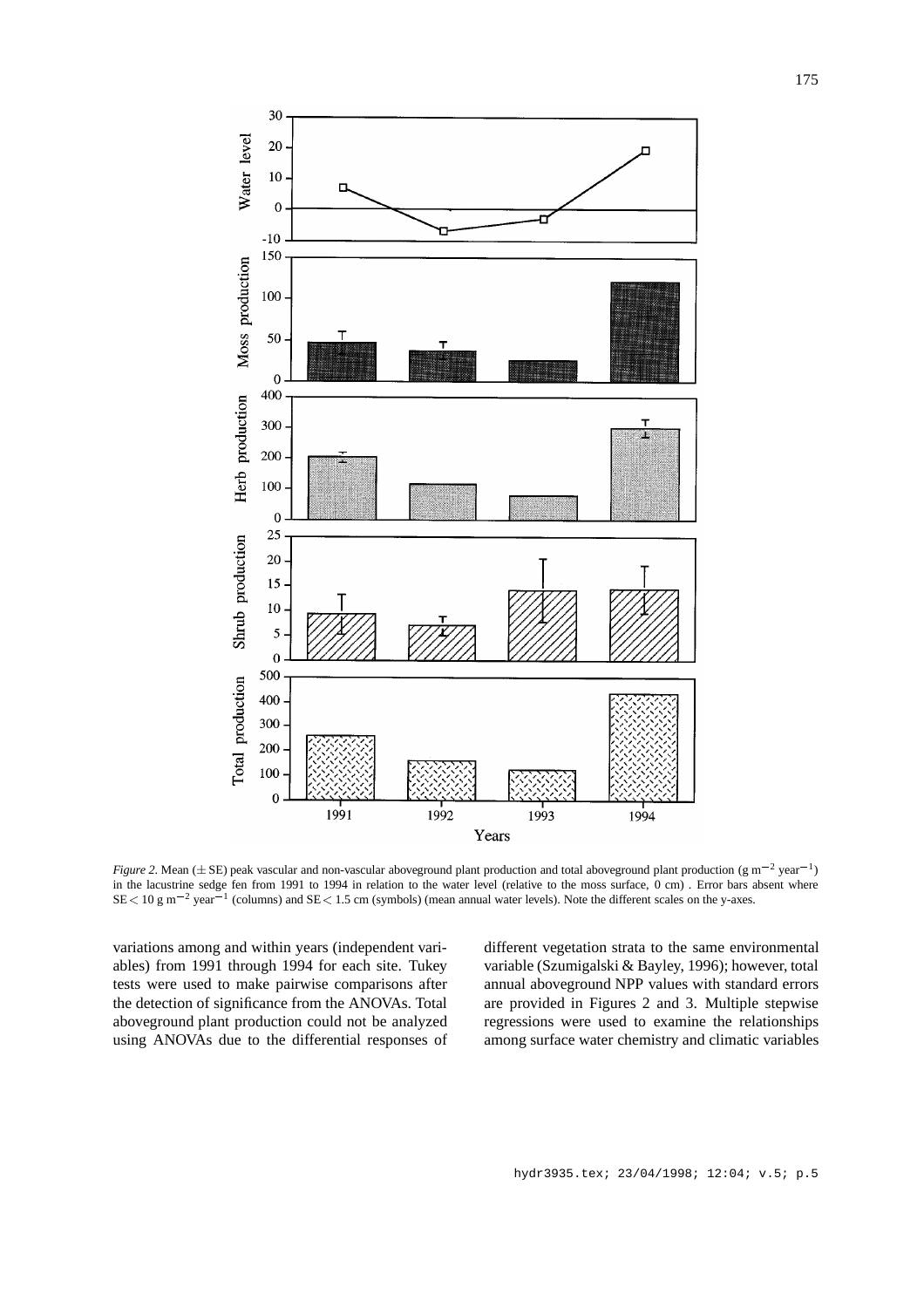

*Figure 2*. Mean ( $\pm$  SE) peak vascular and non-vascular aboveground plant production and total aboveground plant production (g m<sup>-2</sup> year<sup>-1</sup>) in the lacustrine sedge fen from 1991 to 1994 in relation to the water level (relative to the moss surface, 0 cm) . Error bars absent where  $SE < 10 \text{ g m}^{-2}$  year<sup>-1</sup> (columns) and  $SE < 1.5$  cm (symbols) (mean annual water levels). Note the different scales on the y-axes.

variations among and within years (independent variables) from 1991 through 1994 for each site. Tukey tests were used to make pairwise comparisons after the detection of significance from the ANOVAs. Total aboveground plant production could not be analyzed using ANOVAs due to the differential responses of different vegetation strata to the same environmental variable (Szumigalski & Bayley, 1996); however, total annual aboveground NPP values with standard errors are provided in Figures 2 and 3. Multiple stepwise regressions were used to examine the relationships among surface water chemistry and climatic variables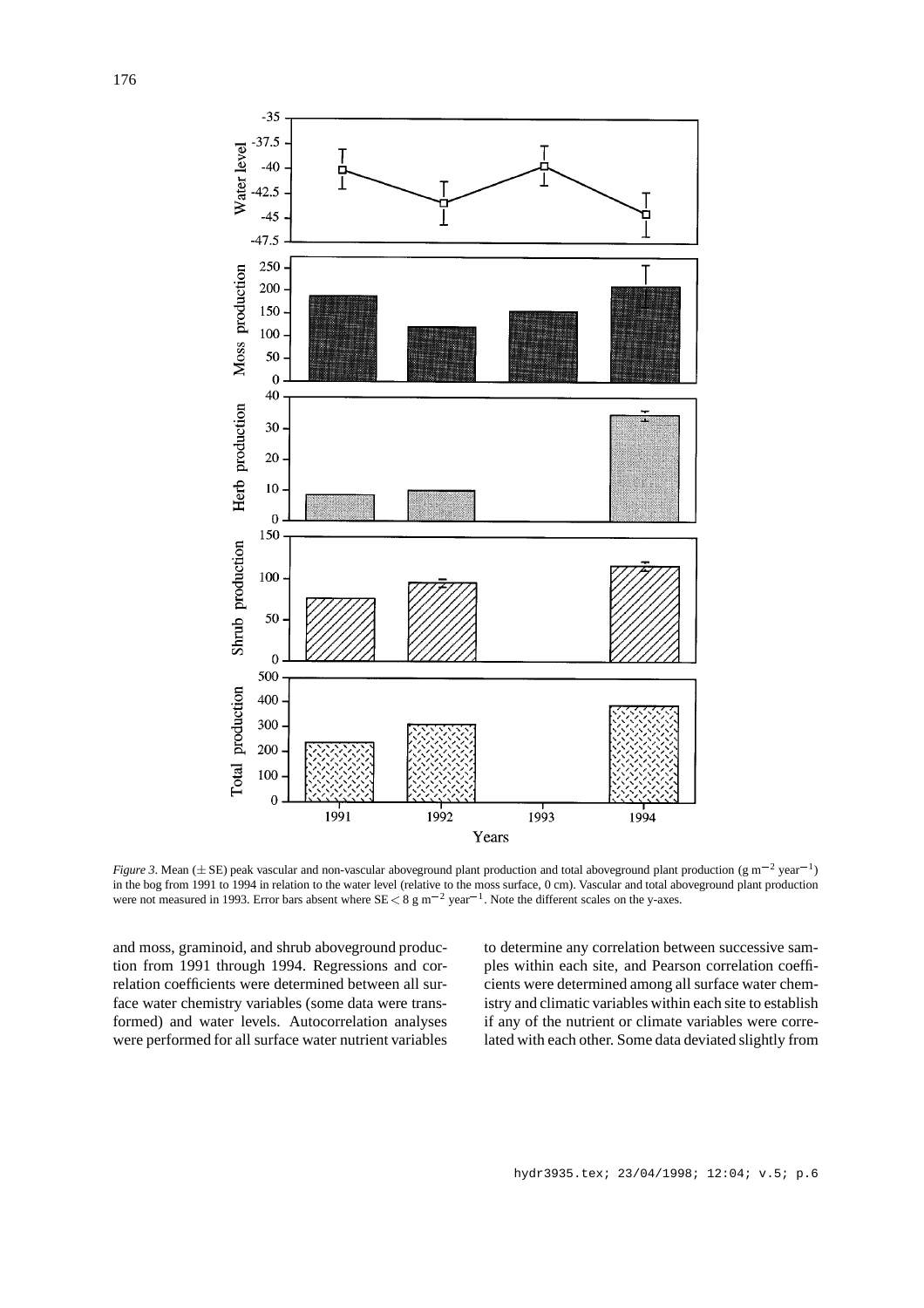

*Figure 3*. Mean ( $\pm$  SE) peak vascular and non-vascular aboveground plant production and total aboveground plant production (g m<sup>-2</sup> year<sup>-1</sup>) in the bog from 1991 to 1994 in relation to the water level (relative to the moss surface, 0 cm). Vascular and total aboveground plant production were not measured in 1993. Error bars absent where  $SE < 8 \text{ g m}^{-2}$  year<sup>-1</sup>. Note the different scales on the y-axes.

and moss, graminoid, and shrub aboveground production from 1991 through 1994. Regressions and correlation coefficients were determined between all surface water chemistry variables (some data were transformed) and water levels. Autocorrelation analyses were performed for all surface water nutrient variables

to determine any correlation between successive samples within each site, and Pearson correlation coefficients were determined among all surface water chemistry and climatic variables within each site to establish if any of the nutrient or climate variables were correlated with each other. Some data deviated slightly from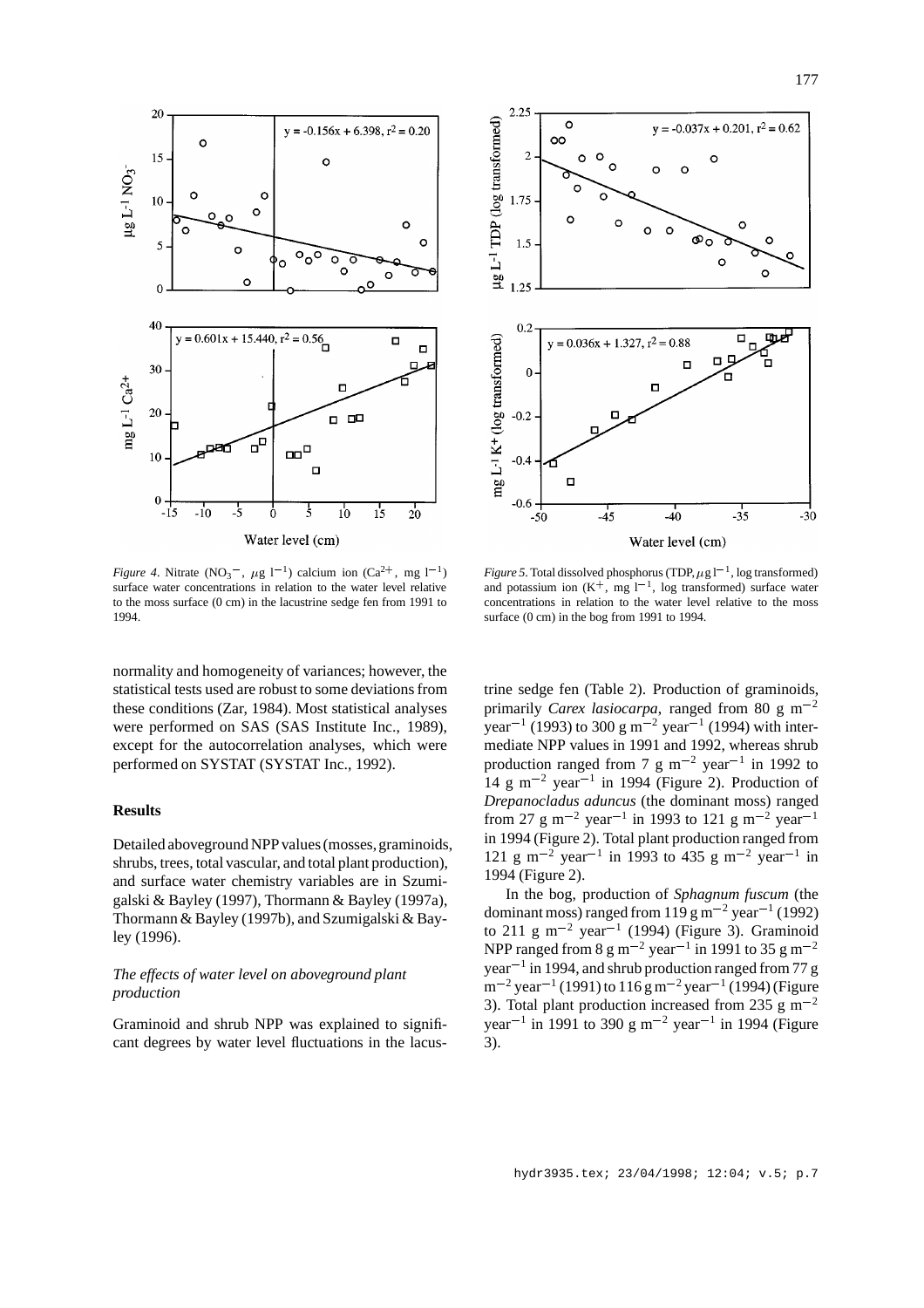

*Figure 4*. Nitrate  $(NO<sub>3</sub><sup>-</sup>, \mu g l<sup>-1</sup>)$  calcium ion  $(Ca<sup>2+</sup>, mg l<sup>-1</sup>)$ surface water concentrations in relation to the water level relative to the moss surface (0 cm) in the lacustrine sedge fen from 1991 to 1994.

normality and homogeneity of variances; however, the statistical tests used are robust to some deviations from these conditions (Zar, 1984). Most statistical analyses were performed on SAS (SAS Institute Inc., 1989), except for the autocorrelation analyses, which were performed on SYSTAT (SYSTAT Inc., 1992).

# **Results**

Detailed aboveground NPP values (mosses, graminoids, shrubs, trees, total vascular, and total plant production), and surface water chemistry variables are in Szumigalski & Bayley (1997), Thormann & Bayley (1997a), Thormann & Bayley (1997b), and Szumigalski & Bayley (1996).

# *The effects of water level on aboveground plant production*

Graminoid and shrub NPP was explained to significant degrees by water level fluctuations in the lacus-



*Figure 5*. Total dissolved phosphorus (TDP,  $\mu$ g l<sup>-1</sup>, log transformed) and potassium ion  $(K^+$ , mg  $1^{-1}$ , log transformed) surface water concentrations in relation to the water level relative to the moss surface (0 cm) in the bog from 1991 to 1994.

trine sedge fen (Table 2). Production of graminoids, primarily *Carex lasiocarpa*, ranged from 80 g m<sup> $-2$ </sup> year<sup>-1</sup> (1993) to 300 g m<sup>-2</sup> year<sup>-1</sup> (1994) with intermediate NPP values in 1991 and 1992, whereas shrub production ranged from 7 g  $m^{-2}$  year<sup>-1</sup> in 1992 to 14 g m<sup>-2</sup> year<sup>-1</sup> in 1994 (Figure 2). Production of *Drepanocladus aduncus* (the dominant moss) ranged from 27 g m<sup>-2</sup> year<sup>-1</sup> in 1993 to 121 g m<sup>-2</sup> year<sup>-1</sup> in 1994 (Figure 2). Total plant production ranged from 121 g m<sup>-2</sup> year<sup>-1</sup> in 1993 to 435 g m<sup>-2</sup> year<sup>-1</sup> in 1994 (Figure 2).

In the bog, production of *Sphagnum fuscum* (the dominant moss) ranged from 119 g m<sup>-2</sup> year<sup>-1</sup> (1992) to 211 g m<sup>-2</sup> year<sup>-1</sup> (1994) (Figure 3). Graminoid NPP ranged from 8 g m<sup>-2</sup> year<sup>-1</sup> in 1991 to 35 g m<sup>-2</sup> year<sup>-1</sup> in 1994, and shrub production ranged from 77 g  $m^{-2}$  year<sup>-1</sup> (1991) to 116 g m<sup>-2</sup> year<sup>-1</sup> (1994) (Figure 3). Total plant production increased from 235 g  $\text{m}^{-2}$ year<sup>-1</sup> in 1991 to 390 g m<sup>-2</sup> year<sup>-1</sup> in 1994 (Figure 3).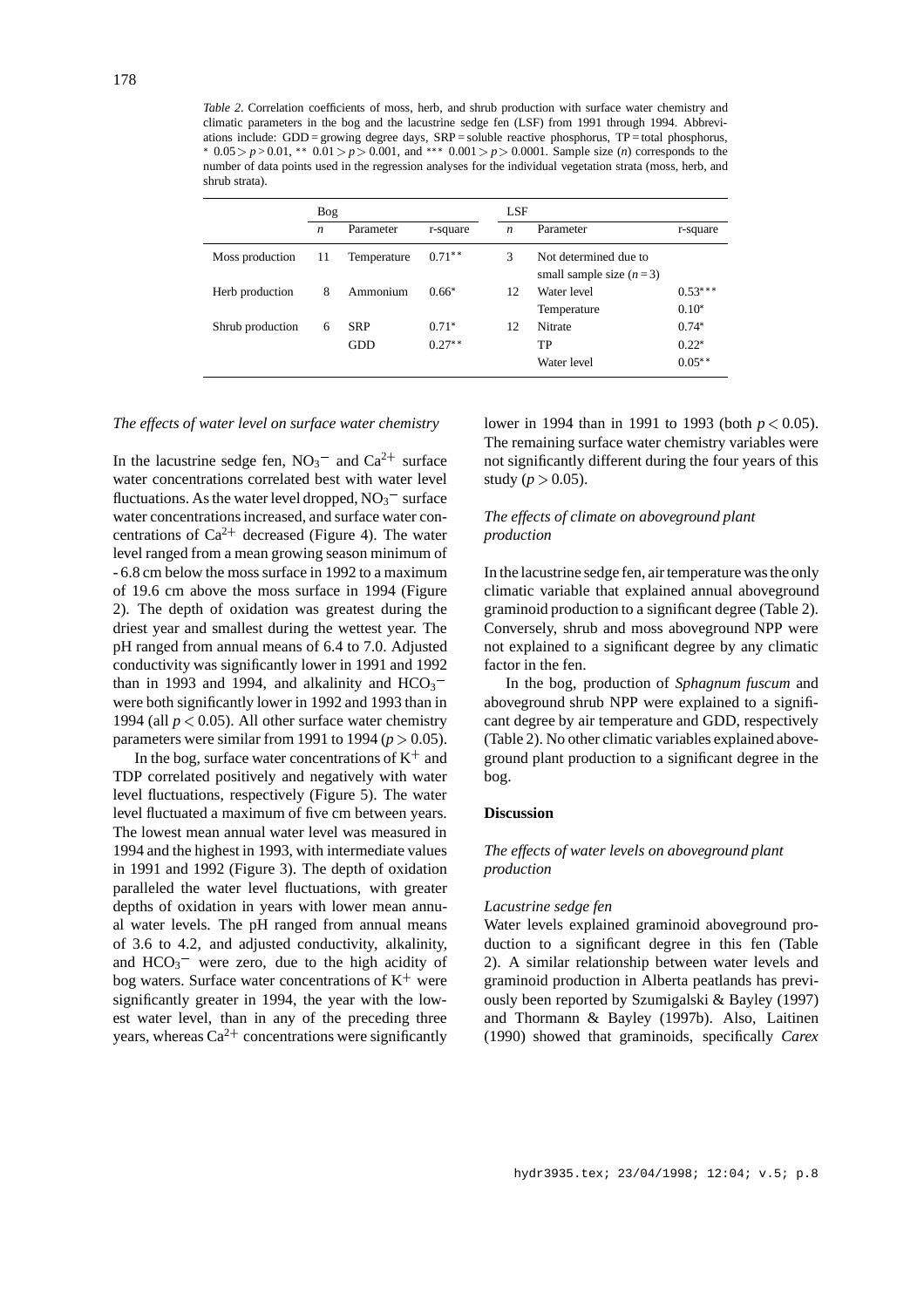*Table 2*. Correlation coefficients of moss, herb, and shrub production with surface water chemistry and climatic parameters in the bog and the lacustrine sedge fen (LSF) from 1991 through 1994. Abbreviations include: GDD = growing degree days, SRP = soluble reactive phosphorus, TP = total phosphorus,  $*$  0.05 > *p* > 0.01,  $*$  0.01 > *p* > 0.001, and  $*$   $*$  0.001 > *p* > 0.0001. Sample size (*n*) corresponds to the number of data points used in the regression analyses for the individual vegetation strata (moss, herb, and shrub strata).

|                  | <b>Bog</b>       |                          |                     | LSF |                                                    |                                 |
|------------------|------------------|--------------------------|---------------------|-----|----------------------------------------------------|---------------------------------|
|                  | $\boldsymbol{n}$ | Parameter                | r-square            | n   | Parameter                                          | r-square                        |
| Moss production  | 11               | Temperature              | $0.71***$           | 3   | Not determined due to<br>small sample size $(n=3)$ |                                 |
| Herb production  | 8                | Ammonium                 | $0.66*$             | 12  | Water level<br>Temperature                         | $0.53***$<br>$0.10*$            |
| Shrub production | 6                | <b>SRP</b><br><b>GDD</b> | $0.71*$<br>$0.27**$ | 12  | Nitrate<br>TP<br>Water level                       | $0.74*$<br>$0.22*$<br>$0.05***$ |

# *The effects of water level on surface water chemistry*

In the lacustrine sedge fen,  $NO_3^-$  and  $Ca^{2+}$  surface water concentrations correlated best with water level fluctuations. As the water level dropped,  $NO_3^-$  surface water concentrations increased, and surface water concentrations of  $Ca^{2+}$  decreased (Figure 4). The water level ranged from a mean growing season minimum of - 6.8 cm below the moss surface in 1992 to a maximum of 19.6 cm above the moss surface in 1994 (Figure 2). The depth of oxidation was greatest during the driest year and smallest during the wettest year. The pH ranged from annual means of 6.4 to 7.0. Adjusted conductivity was significantly lower in 1991 and 1992 than in 1993 and 1994, and alkalinity and  $HCO<sub>3</sub>$ <sup>-</sup> were both significantly lower in 1992 and 1993 than in 1994 (all  $p < 0.05$ ). All other surface water chemistry parameters were similar from 1991 to 1994 ( $p > 0.05$ ).

In the bog, surface water concentrations of  $K^+$  and g TDP correlated positively and negatively with water level fluctuations, respectively (Figure 5). The water level fluctuated a maximum of five cm between years. The lowest mean annual water level was measured in 1994 and the highest in 1993, with intermediate values in 1991 and 1992 (Figure 3). The depth of oxidation paralleled the water level fluctuations, with greater depths of oxidation in years with lower mean annual water levels. The pH ranged from annual means of 3.6 to 4.2, and adjusted conductivity, alkalinity, and  $HCO<sub>3</sub><sup>-</sup>$  were zero, due to the high acidity of bog waters. Surface water concentrations of  $K^+$  were significantly greater in 1994, the year with the lowest water level, than in any of the preceding three years, whereas  $Ca^{2+}$  concentrations were significantly

lower in 1994 than in 1991 to 1993 (both *p* <sup>&</sup>lt; 0.05). The remaining surface water chemistry variables were not significantly different during the four years of this study ( $p > 0.05$ ).

# *The effects of climate on aboveground plant production*

In the lacustrine sedge fen, air temperature was the only climatic variable that explained annual aboveground graminoid production to a significant degree (Table 2). Conversely, shrub and moss aboveground NPP were not explained to a significant degree by any climatic factor in the fen.

In the bog, production of *Sphagnum fuscum* and aboveground shrub NPP were explained to a significant degree by air temperature and GDD, respectively (Table 2). No other climatic variables explained aboveground plant production to a significant degree in the bog.

# **Discussion**

# *The effects of water levels on aboveground plant production*

#### *Lacustrine sedge fen*

Water levels explained graminoid aboveground production to a significant degree in this fen (Table 2). A similar relationship between water levels and graminoid production in Alberta peatlands has previously been reported by Szumigalski & Bayley (1997) and Thormann & Bayley (1997b). Also, Laitinen (1990) showed that graminoids, specifically *Carex*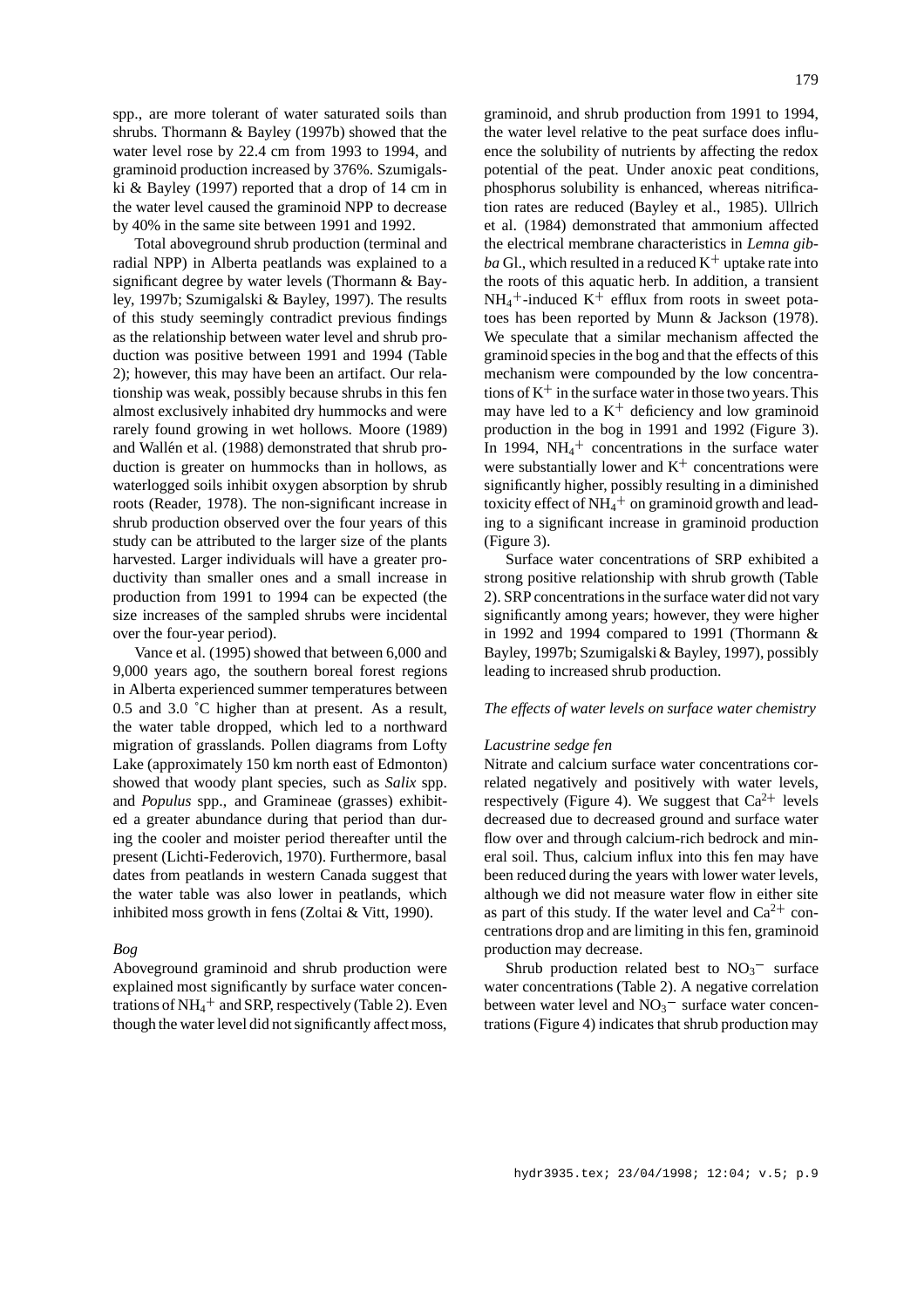spp., are more tolerant of water saturated soils than shrubs. Thormann & Bayley (1997b) showed that the water level rose by 22.4 cm from 1993 to 1994, and graminoid production increased by 376%. Szumigalski & Bayley (1997) reported that a drop of 14 cm in the water level caused the graminoid NPP to decrease by 40% in the same site between 1991 and 1992.

Total aboveground shrub production (terminal and radial NPP) in Alberta peatlands was explained to a significant degree by water levels (Thormann & Bayley, 1997b; Szumigalski & Bayley, 1997). The results of this study seemingly contradict previous findings as the relationship between water level and shrub production was positive between 1991 and 1994 (Table 2); however, this may have been an artifact. Our relationship was weak, possibly because shrubs in this fen almost exclusively inhabited dry hummocks and were rarely found growing in wet hollows. Moore (1989) and Wallén et al. (1988) demonstrated that shrub production is greater on hummocks than in hollows, as waterlogged soils inhibit oxygen absorption by shrub roots (Reader, 1978). The non-significant increase in shrub production observed over the four years of this study can be attributed to the larger size of the plants harvested. Larger individuals will have a greater productivity than smaller ones and a small increase in production from 1991 to 1994 can be expected (the size increases of the sampled shrubs were incidental over the four-year period).

Vance et al. (1995) showed that between 6,000 and 9,000 years ago, the southern boreal forest regions in Alberta experienced summer temperatures between 0.5 and 3.0 ˚C higher than at present. As a result, the water table dropped, which led to a northward migration of grasslands. Pollen diagrams from Lofty Lake (approximately 150 km north east of Edmonton) showed that woody plant species, such as *Salix* spp. and *Populus* spp., and Gramineae (grasses) exhibited a greater abundance during that period than during the cooler and moister period thereafter until the present (Lichti-Federovich, 1970). Furthermore, basal dates from peatlands in western Canada suggest that the water table was also lower in peatlands, which inhibited moss growth in fens (Zoltai & Vitt, 1990).

#### *Bog*

Aboveground graminoid and shrub production were explained most significantly by surface water concentrations of  $NH_4^+$  and SRP, respectively (Table 2). Even though the water level did not significantly affect moss,

graminoid, and shrub production from 1991 to 1994, the water level relative to the peat surface does influence the solubility of nutrients by affecting the redox potential of the peat. Under anoxic peat conditions, phosphorus solubility is enhanced, whereas nitrification rates are reduced (Bayley et al., 1985). Ullrich et al. (1984) demonstrated that ammonium affected the electrical membrane characteristics in *Lemna gibba* Gl., which resulted in a reduced  $K^+$  uptake rate into the roots of this aquatic herb. In addition, a transient  $NH_4^+$ -induced  $K^+$  efflux from roots in sweet potatoes has been reported by Munn & Jackson (1978). We speculate that a similar mechanism affected the graminoid species in the bog and that the effects of this mechanism were compounded by the low concentrations of  $K^+$  in the surface water in those two years. This may have led to a  $K^+$  deficiency and low graminoid production in the bog in 1991 and 1992 (Figure 3). In 1994,  $NH_4$ <sup>+</sup> concentrations in the surface water were substantially lower and  $K^+$  concentrations were significantly higher, possibly resulting in a diminished toxicity effect of NH $_4^+$  on graminoid growth and leading to a significant increase in graminoid production (Figure 3).

Surface water concentrations of SRP exhibited a strong positive relationship with shrub growth (Table 2). SRP concentrations in the surface water did not vary significantly among years; however, they were higher in 1992 and 1994 compared to 1991 (Thormann & Bayley, 1997b; Szumigalski & Bayley, 1997), possibly leading to increased shrub production.

#### *The effects of water levels on surface water chemistry*

#### *Lacustrine sedge fen*

Nitrate and calcium surface water concentrations correlated negatively and positively with water levels, respectively (Figure 4). We suggest that  $Ca^{2+}$  levels decreased due to decreased ground and surface water flow over and through calcium-rich bedrock and mineral soil. Thus, calcium influx into this fen may have been reduced during the years with lower water levels, although we did not measure water flow in either site as part of this study. If the water level and  $Ca^{2+}$  concentrations drop and are limiting in this fen, graminoid production may decrease.

Shrub production related best to  $NO<sub>3</sub>$ <sup>-</sup> surface water concentrations (Table 2). A negative correlation between water level and  $NO<sub>3</sub><sup>-</sup>$  surface water concentrations (Figure 4) indicates that shrub production may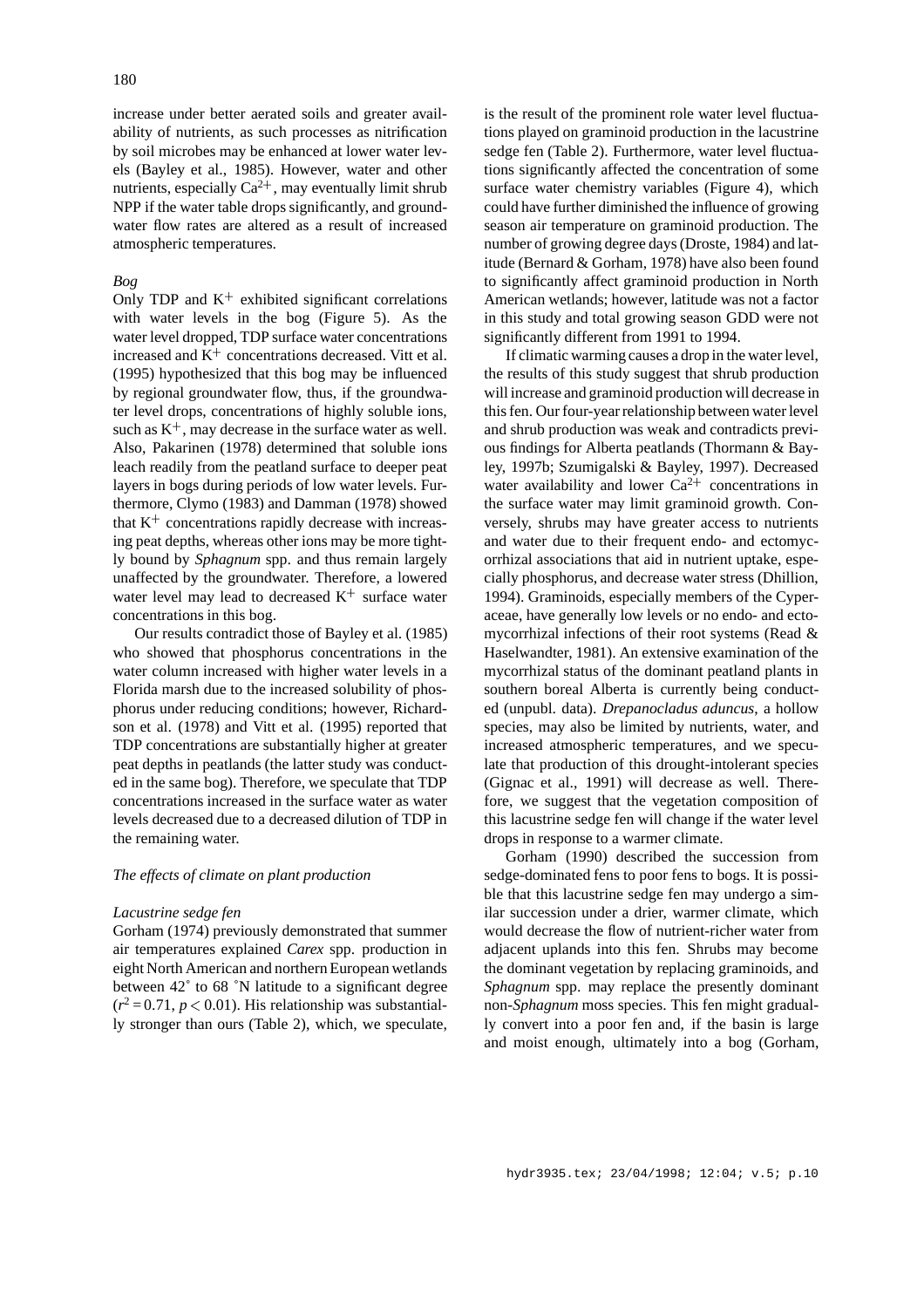increase under better aerated soils and greater availability of nutrients, as such processes as nitrification by soil microbes may be enhanced at lower water levels (Bayley et al., 1985). However, water and other nutrients, especially  $Ca^{2+}$ , may eventually limit shrub NPP if the water table drops significantly, and groundwater flow rates are altered as a result of increased atmospheric temperatures.

# *Bog*

Only TDP and  $K^+$  exhibited significant correlations with water levels in the bog (Figure 5). As the water level dropped, TDP surface water concentrations increased and  $K^+$  concentrations decreased. Vitt et al. (1995) hypothesized that this bog may be influenced by regional groundwater flow, thus, if the groundwater level drops, concentrations of highly soluble ions, such as  $K^+$ , may decrease in the surface water as well. Also, Pakarinen (1978) determined that soluble ions leach readily from the peatland surface to deeper peat layers in bogs during periods of low water levels. Furthermore, Clymo (1983) and Damman (1978) showed that  $K^+$  concentrations rapidly decrease with increasing peat depths, whereas other ions may be more tightly bound by *Sphagnum* spp. and thus remain largely unaffected by the groundwater. Therefore, a lowered water level may lead to decreased  $K^+$  surface water concentrations in this bog.

Our results contradict those of Bayley et al. (1985) who showed that phosphorus concentrations in the water column increased with higher water levels in a Florida marsh due to the increased solubility of phosphorus under reducing conditions; however, Richardson et al. (1978) and Vitt et al. (1995) reported that TDP concentrations are substantially higher at greater peat depths in peatlands (the latter study was conducted in the same bog). Therefore, we speculate that TDP concentrations increased in the surface water as water levels decreased due to a decreased dilution of TDP in the remaining water.

# *The effects of climate on plant production*

#### *Lacustrine sedge fen*

Gorham (1974) previously demonstrated that summer air temperatures explained *Carex* spp. production in eight North American and northern European wetlands between 42˚ to 68 ˚N latitude to a significant degree  $(r^2 = 0.71, p < 0.01)$ . His relationship was substantially stronger than ours (Table 2), which, we speculate,

is the result of the prominent role water level fluctuations played on graminoid production in the lacustrine sedge fen (Table 2). Furthermore, water level fluctuations significantly affected the concentration of some surface water chemistry variables (Figure 4), which could have further diminished the influence of growing season air temperature on graminoid production. The number of growing degree days (Droste, 1984) and latitude (Bernard & Gorham, 1978) have also been found to significantly affect graminoid production in North American wetlands; however, latitude was not a factor in this study and total growing season GDD were not significantly different from 1991 to 1994.

If climatic warming causes a drop in the water level, the results of this study suggest that shrub production will increase and graminoid production will decrease in this fen. Our four-year relationship between water level and shrub production was weak and contradicts previous findings for Alberta peatlands (Thormann & Bayley, 1997b; Szumigalski & Bayley, 1997). Decreased water availability and lower  $Ca^{2+}$  concentrations in the surface water may limit graminoid growth. Conversely, shrubs may have greater access to nutrients and water due to their frequent endo- and ectomycorrhizal associations that aid in nutrient uptake, especially phosphorus, and decrease water stress (Dhillion, 1994). Graminoids, especially members of the Cyperaceae, have generally low levels or no endo- and ectomycorrhizal infections of their root systems (Read & Haselwandter, 1981). An extensive examination of the mycorrhizal status of the dominant peatland plants in southern boreal Alberta is currently being conducted (unpubl. data). *Drepanocladus aduncus*, a hollow species, may also be limited by nutrients, water, and increased atmospheric temperatures, and we speculate that production of this drought-intolerant species (Gignac et al., 1991) will decrease as well. Therefore, we suggest that the vegetation composition of this lacustrine sedge fen will change if the water level drops in response to a warmer climate.

Gorham (1990) described the succession from sedge-dominated fens to poor fens to bogs. It is possible that this lacustrine sedge fen may undergo a similar succession under a drier, warmer climate, which would decrease the flow of nutrient-richer water from adjacent uplands into this fen. Shrubs may become the dominant vegetation by replacing graminoids, and *Sphagnum* spp. may replace the presently dominant non-*Sphagnum* moss species. This fen might gradually convert into a poor fen and, if the basin is large and moist enough, ultimately into a bog (Gorham,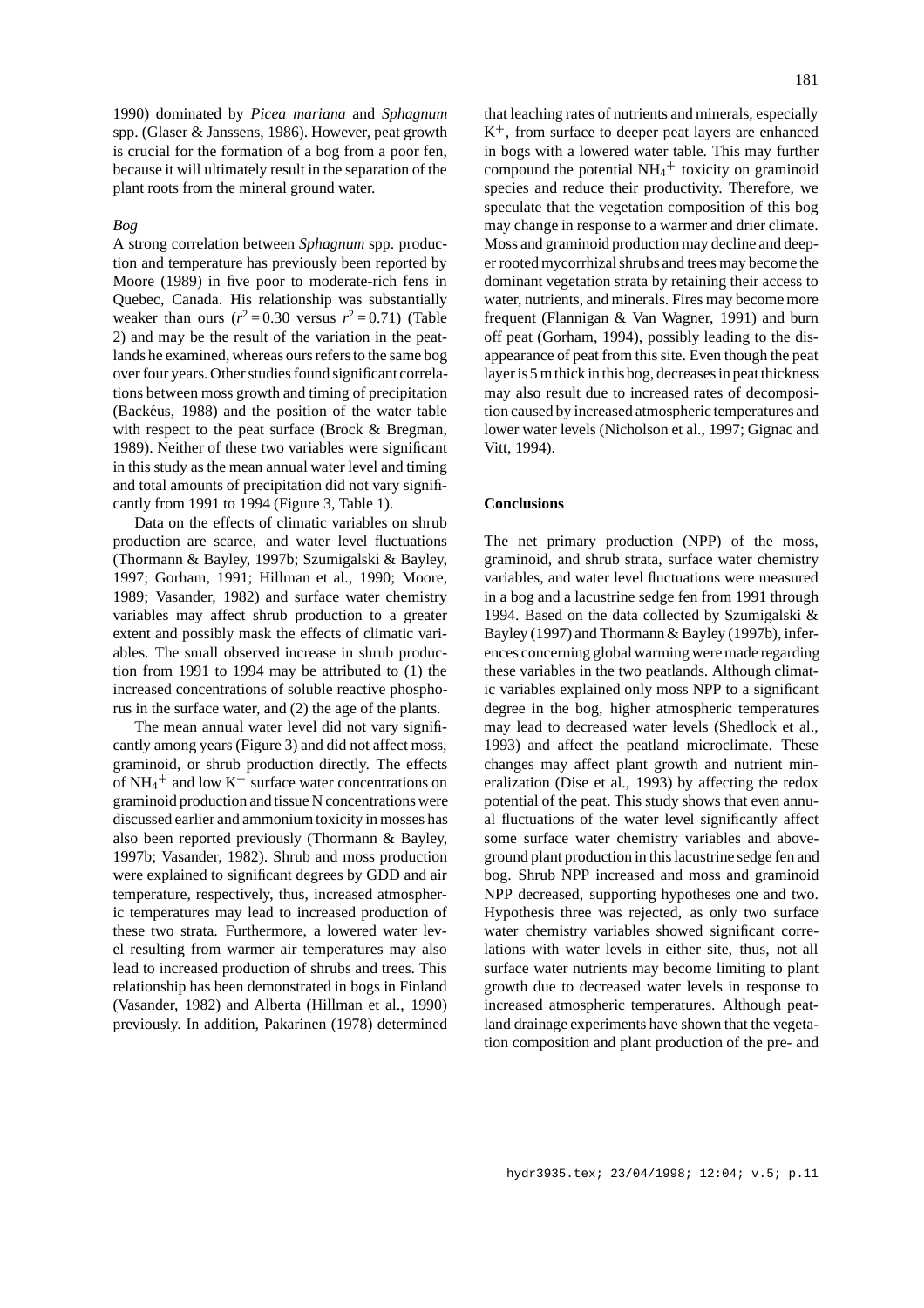1990) dominated by *Picea mariana* and *Sphagnum* spp. (Glaser & Janssens, 1986). However, peat growth is crucial for the formation of a bog from a poor fen, because it will ultimately result in the separation of the plant roots from the mineral ground water.

# *Bog*

A strong correlation between *Sphagnum* spp. production and temperature has previously been reported by Moore (1989) in five poor to moderate-rich fens in Quebec, Canada. His relationship was substantially weaker than ours  $(r^2 = 0.30$  versus  $r^2 = 0.71$ ) (Table 2) and may be the result of the variation in the peatlands he examined, whereas ours refers to the same bog over four years. Other studies found significant correlations between moss growth and timing of precipitation (Backéus, 1988) and the position of the water table with respect to the peat surface (Brock & Bregman, 1989). Neither of these two variables were significant in this study as the mean annual water level and timing and total amounts of precipitation did not vary significantly from 1991 to 1994 (Figure 3, Table 1).

Data on the effects of climatic variables on shrub production are scarce, and water level fluctuations (Thormann & Bayley, 1997b; Szumigalski & Bayley, 1997; Gorham, 1991; Hillman et al., 1990; Moore, 1989; Vasander, 1982) and surface water chemistry variables may affect shrub production to a greater extent and possibly mask the effects of climatic variables. The small observed increase in shrub production from 1991 to 1994 may be attributed to (1) the increased concentrations of soluble reactive phosphorus in the surface water, and (2) the age of the plants.

The mean annual water level did not vary significantly among years (Figure 3) and did not affect moss, graminoid, or shrub production directly. The effects of  $NH_4^+$  and low  $K^+$  surface water concentrations on graminoid production and tissue N concentrations were discussed earlier and ammonium toxicity in mosses has also been reported previously (Thormann & Bayley, 1997b; Vasander, 1982). Shrub and moss production were explained to significant degrees by GDD and air temperature, respectively, thus, increased atmospheric temperatures may lead to increased production of these two strata. Furthermore, a lowered water level resulting from warmer air temperatures may also lead to increased production of shrubs and trees. This relationship has been demonstrated in bogs in Finland (Vasander, 1982) and Alberta (Hillman et al., 1990) previously. In addition, Pakarinen (1978) determined that leaching rates of nutrients and minerals, especially K<sup>+</sup> , from surface to deeper peat layers are enhanced in bogs with a lowered water table. This may further compound the potential  $NH_4$ <sup>+</sup> toxicity on graminoid species and reduce their productivity. Therefore, we speculate that the vegetation composition of this bog may change in response to a warmer and drier climate. Moss and graminoid production may decline and deeper rooted mycorrhizal shrubs and trees may become the dominant vegetation strata by retaining their access to water, nutrients, and minerals. Fires may become more frequent (Flannigan & Van Wagner, 1991) and burn off peat (Gorham, 1994), possibly leading to the disappearance of peat from this site. Even though the peat layer is 5 m thick in this bog, decreases in peat thickness may also result due to increased rates of decomposition caused by increased atmospheric temperatures and lower water levels (Nicholson et al., 1997; Gignac and Vitt, 1994).

# **Conclusions**

The net primary production (NPP) of the moss, graminoid, and shrub strata, surface water chemistry variables, and water level fluctuations were measured in a bog and a lacustrine sedge fen from 1991 through 1994. Based on the data collected by Szumigalski & Bayley (1997) and Thormann & Bayley (1997b), inferences concerning global warming were made regarding these variables in the two peatlands. Although climatic variables explained only moss NPP to a significant degree in the bog, higher atmospheric temperatures may lead to decreased water levels (Shedlock et al., 1993) and affect the peatland microclimate. These changes may affect plant growth and nutrient mineralization (Dise et al., 1993) by affecting the redox potential of the peat. This study shows that even annual fluctuations of the water level significantly affect some surface water chemistry variables and aboveground plant production in this lacustrine sedge fen and bog. Shrub NPP increased and moss and graminoid NPP decreased, supporting hypotheses one and two. Hypothesis three was rejected, as only two surface water chemistry variables showed significant correlations with water levels in either site, thus, not all surface water nutrients may become limiting to plant growth due to decreased water levels in response to increased atmospheric temperatures. Although peatland drainage experiments have shown that the vegetation composition and plant production of the pre- and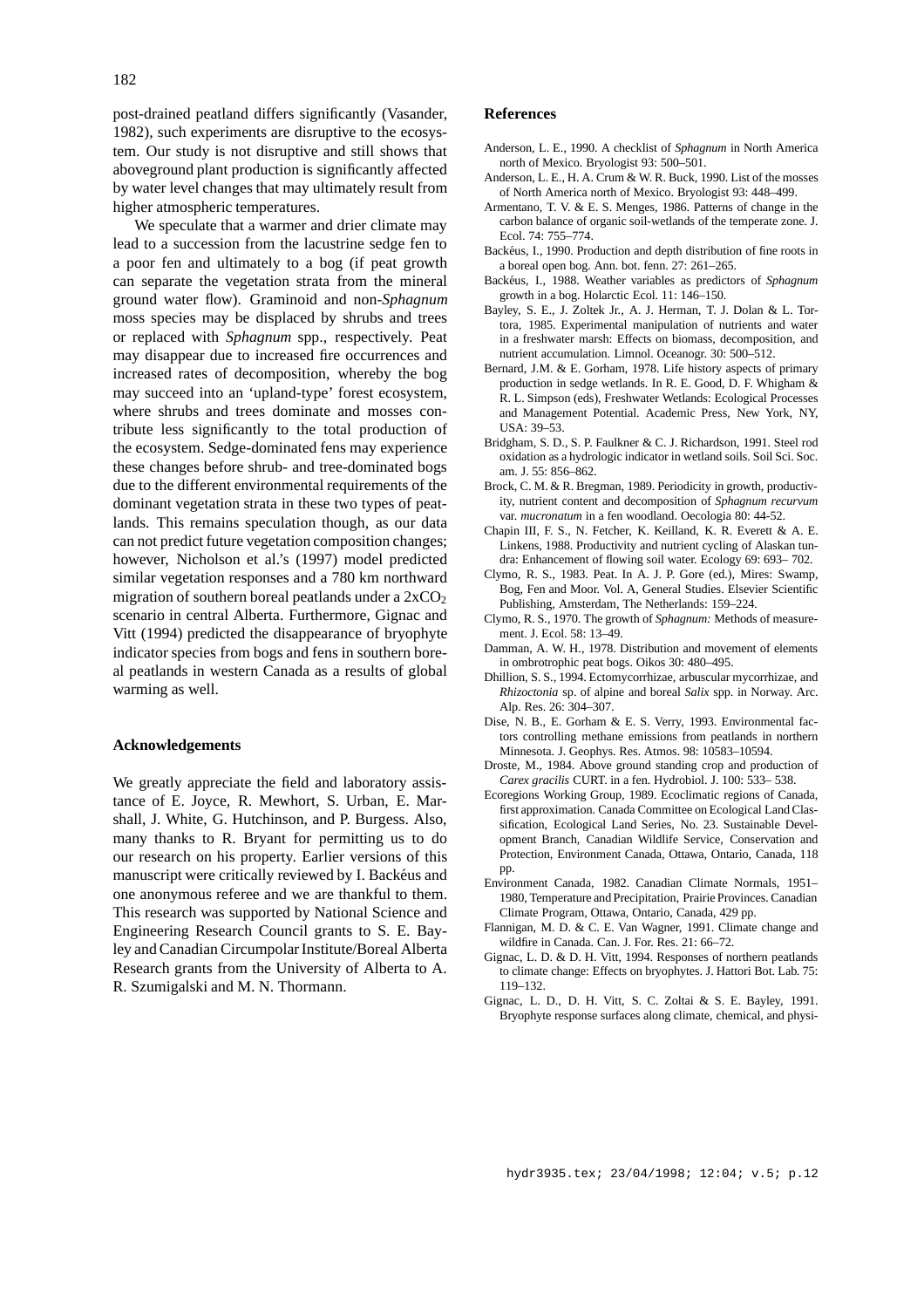post-drained peatland differs significantly (Vasander, 1982), such experiments are disruptive to the ecosystem. Our study is not disruptive and still shows that aboveground plant production is significantly affected by water level changes that may ultimately result from higher atmospheric temperatures.

We speculate that a warmer and drier climate may lead to a succession from the lacustrine sedge fen to a poor fen and ultimately to a bog (if peat growth can separate the vegetation strata from the mineral ground water flow). Graminoid and non-*Sphagnum* moss species may be displaced by shrubs and trees or replaced with *Sphagnum* spp., respectively. Peat may disappear due to increased fire occurrences and increased rates of decomposition, whereby the bog may succeed into an 'upland-type' forest ecosystem, where shrubs and trees dominate and mosses contribute less significantly to the total production of the ecosystem. Sedge-dominated fens may experience these changes before shrub- and tree-dominated bogs due to the different environmental requirements of the dominant vegetation strata in these two types of peatlands. This remains speculation though, as our data can not predict future vegetation composition changes; however, Nicholson et al.'s (1997) model predicted similar vegetation responses and a 780 km northward migration of southern boreal peatlands under a  $2xCO<sub>2</sub>$ scenario in central Alberta. Furthermore, Gignac and Vitt (1994) predicted the disappearance of bryophyte indicator species from bogs and fens in southern boreal peatlands in western Canada as a results of global warming as well.

#### **Acknowledgements**

We greatly appreciate the field and laboratory assistance of E. Joyce, R. Mewhort, S. Urban, E. Marshall, J. White, G. Hutchinson, and P. Burgess. Also, many thanks to R. Bryant for permitting us to do our research on his property. Earlier versions of this manuscript were critically reviewed by I. Backéus and one anonymous referee and we are thankful to them. This research was supported by National Science and Engineering Research Council grants to S. E. Bayley and Canadian Circumpolar Institute/Boreal Alberta Research grants from the University of Alberta to A. R. Szumigalski and M. N. Thormann.

#### **References**

- Anderson, L. E., 1990. A checklist of *Sphagnum* in North America north of Mexico. Bryologist 93: 500–501.
- Anderson, L. E., H. A. Crum & W. R. Buck, 1990. List of the mosses of North America north of Mexico. Bryologist 93: 448–499.
- Armentano, T. V. & E. S. Menges, 1986. Patterns of change in the carbon balance of organic soil-wetlands of the temperate zone. J. Ecol. 74: 755–774.
- Backéus, I., 1990. Production and depth distribution of fine roots in a boreal open bog. Ann. bot. fenn. 27: 261–265.
- Backéus, I., 1988. Weather variables as predictors of *Sphagnum* growth in a bog. Holarctic Ecol. 11: 146–150.
- Bayley, S. E., J. Zoltek Jr., A. J. Herman, T. J. Dolan & L. Tortora, 1985. Experimental manipulation of nutrients and water in a freshwater marsh: Effects on biomass, decomposition, and nutrient accumulation. Limnol. Oceanogr. 30: 500–512.
- Bernard, J.M. & E. Gorham, 1978. Life history aspects of primary production in sedge wetlands. In R. E. Good, D. F. Whigham & R. L. Simpson (eds), Freshwater Wetlands: Ecological Processes and Management Potential. Academic Press, New York, NY, USA: 39–53.
- Bridgham, S. D., S. P. Faulkner & C. J. Richardson, 1991. Steel rod oxidation as a hydrologic indicator in wetland soils. Soil Sci. Soc. am. J. 55: 856–862.
- Brock, C. M. & R. Bregman, 1989. Periodicity in growth, productivity, nutrient content and decomposition of *Sphagnum recurvum* var. *mucronatum* in a fen woodland. Oecologia 80: 44-52.
- Chapin III, F. S., N. Fetcher, K. Keilland, K. R. Everett & A. E. Linkens, 1988. Productivity and nutrient cycling of Alaskan tundra: Enhancement of flowing soil water. Ecology 69: 693– 702.
- Clymo, R. S., 1983. Peat. In A. J. P. Gore (ed.), Mires: Swamp, Bog, Fen and Moor. Vol. A, General Studies. Elsevier Scientific Publishing, Amsterdam, The Netherlands: 159–224.
- Clymo, R. S., 1970. The growth of *Sphagnum:* Methods of measurement. J. Ecol. 58: 13–49.
- Damman, A. W. H., 1978. Distribution and movement of elements in ombrotrophic peat bogs. Oikos 30: 480–495.
- Dhillion, S. S., 1994. Ectomycorrhizae, arbuscular mycorrhizae, and *Rhizoctonia* sp. of alpine and boreal *Salix* spp. in Norway. Arc. Alp. Res. 26: 304–307.
- Dise, N. B., E. Gorham & E. S. Verry, 1993. Environmental factors controlling methane emissions from peatlands in northern Minnesota. J. Geophys. Res. Atmos. 98: 10583–10594.
- Droste, M., 1984. Above ground standing crop and production of *Carex gracilis* CURT. in a fen. Hydrobiol. J. 100: 533– 538.
- Ecoregions Working Group, 1989. Ecoclimatic regions of Canada, first approximation. Canada Committee on Ecological Land Classification, Ecological Land Series, No. 23. Sustainable Development Branch, Canadian Wildlife Service, Conservation and Protection, Environment Canada, Ottawa, Ontario, Canada, 118 pp.
- Environment Canada, 1982. Canadian Climate Normals, 1951– 1980, Temperature and Precipitation, Prairie Provinces. Canadian Climate Program, Ottawa, Ontario, Canada, 429 pp.
- Flannigan, M. D. & C. E. Van Wagner, 1991. Climate change and wildfire in Canada. Can. J. For. Res. 21: 66–72.
- Gignac, L. D. & D. H. Vitt, 1994. Responses of northern peatlands to climate change: Effects on bryophytes. J. Hattori Bot. Lab. 75: 119–132.
- Gignac, L. D., D. H. Vitt, S. C. Zoltai & S. E. Bayley, 1991. Bryophyte response surfaces along climate, chemical, and physi-